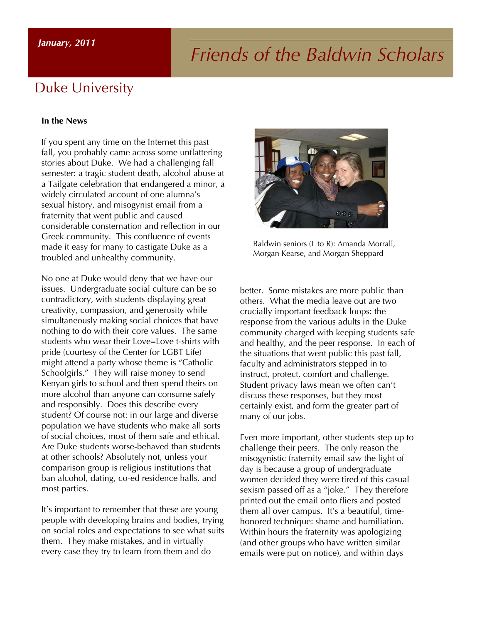# *Friends of the Baldwin Scholars January, 2011*

#### Duke University

#### **In the News**

If you spent any time on the Internet this past fall, you probably came across some unflattering stories about Duke. We had a challenging fall semester: a tragic student death, alcohol abuse at a Tailgate celebration that endangered a minor, a widely circulated account of one alumna's sexual history, and misogynist email from a fraternity that went public and caused considerable consternation and reflection in our Greek community. This confluence of events made it easy for many to castigate Duke as a troubled and unhealthy community.

No one at Duke would deny that we have our issues. Undergraduate social culture can be so contradictory, with students displaying great creativity, compassion, and generosity while simultaneously making social choices that have nothing to do with their core values. The same students who wear their Love=Love t-shirts with pride (courtesy of the Center for LGBT Life) might attend a party whose theme is "Catholic Schoolgirls." They will raise money to send Kenyan girls to school and then spend theirs on more alcohol than anyone can consume safely and responsibly. Does this describe every student? Of course not: in our large and diverse population we have students who make all sorts of social choices, most of them safe and ethical. Are Duke students worse-behaved than students at other schools? Absolutely not, unless your comparison group is religious institutions that ban alcohol, dating, co-ed residence halls, and most parties.

It's important to remember that these are young people with developing brains and bodies, trying on social roles and expectations to see what suits them. They make mistakes, and in virtually every case they try to learn from them and do



Baldwin seniors (L to R): Amanda Morrall, Morgan Kearse, and Morgan Sheppard

better. Some mistakes are more public than others. What the media leave out are two crucially important feedback loops: the response from the various adults in the Duke community charged with keeping students safe and healthy, and the peer response. In each of the situations that went public this past fall, faculty and administrators stepped in to instruct, protect, comfort and challenge. Student privacy laws mean we often can't discuss these responses, but they most certainly exist, and form the greater part of many of our jobs.

Even more important, other students step up to challenge their peers. The only reason the misogynistic fraternity email saw the light of day is because a group of undergraduate women decided they were tired of this casual sexism passed off as a "joke." They therefore printed out the email onto fliers and posted them all over campus. It's a beautiful, timehonored technique: shame and humiliation. Within hours the fraternity was apologizing (and other groups who have written similar emails were put on notice), and within days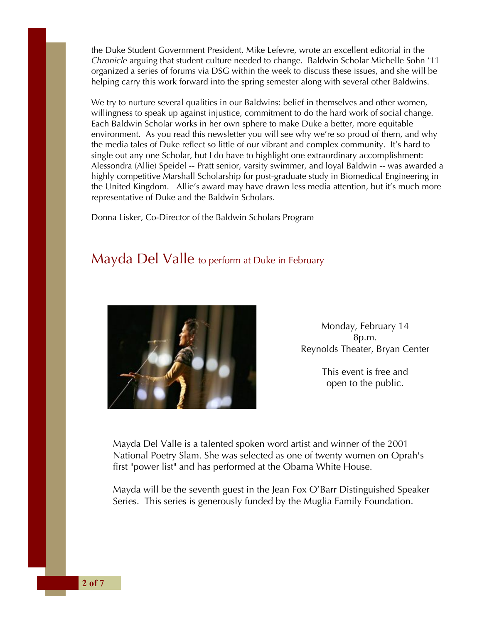the Duke Student Government President, Mike Lefevre, wrote an excellent editorial in the *Chronicle* arguing that student culture needed to change. Baldwin Scholar Michelle Sohn '11 organized a series of forums via DSG within the week to discuss these issues, and she will be helping carry this work forward into the spring semester along with several other Baldwins.

We try to nurture several qualities in our Baldwins: belief in themselves and other women, willingness to speak up against injustice, commitment to do the hard work of social change. Each Baldwin Scholar works in her own sphere to make Duke a better, more equitable environment. As you read this newsletter you will see why we're so proud of them, and why the media tales of Duke reflect so little of our vibrant and complex community. It's hard to single out any one Scholar, but I do have to highlight one extraordinary accomplishment: Alessondra (Allie) Speidel -- Pratt senior, varsity swimmer, and loyal Baldwin -- was awarded a highly competitive Marshall Scholarship for post-graduate study in Biomedical Engineering in the United Kingdom. Allie's award may have drawn less media attention, but it's much more representative of Duke and the Baldwin Scholars.

Donna Lisker, Co-Director of the Baldwin Scholars Program

#### Mayda Del Valle to perform at Duke in February



Monday, February 14 8p.m. Reynolds Theater, Bryan Center

> This event is free and open to the public.

Mayda Del Valle is a talented spoken word artist and winner of the 2001 National Poetry Slam. She was selected as one of twenty women on Oprah's first "power list" and has performed at the Obama White House.

Mayda will be the seventh guest in the Jean Fox O'Barr Distinguished Speaker Series. This series is generously funded by the Muglia Family Foundation.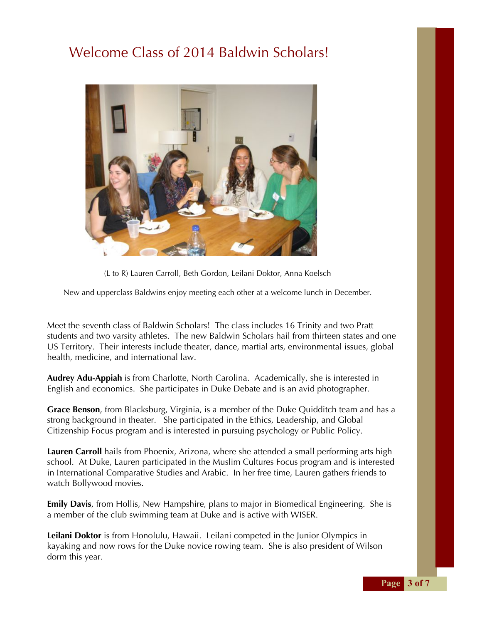## Welcome Class of 2014 Baldwin Scholars!



(L to R) Lauren Carroll, Beth Gordon, Leilani Doktor, Anna Koelsch

New and upperclass Baldwins enjoy meeting each other at a welcome lunch in December.

Meet the seventh class of Baldwin Scholars! The class includes 16 Trinity and two Pratt students and two varsity athletes. The new Baldwin Scholars hail from thirteen states and one US Territory. Their interests include theater, dance, martial arts, environmental issues, global health, medicine, and international law.

**Audrey Adu-Appiah** is from Charlotte, North Carolina. Academically, she is interested in English and economics. She participates in Duke Debate and is an avid photographer.

**Grace Benson**, from Blacksburg, Virginia, is a member of the Duke Quidditch team and has a strong background in theater. She participated in the Ethics, Leadership, and Global Citizenship Focus program and is interested in pursuing psychology or Public Policy.

**Lauren Carroll** hails from Phoenix, Arizona, where she attended a small performing arts high school. At Duke, Lauren participated in the Muslim Cultures Focus program and is interested in International Comparative Studies and Arabic. In her free time, Lauren gathers friends to watch Bollywood movies.

**Emily Davis**, from Hollis, New Hampshire, plans to major in Biomedical Engineering. She is a member of the club swimming team at Duke and is active with WISER.

**Leilani Doktor** is from Honolulu, Hawaii. Leilani competed in the Junior Olympics in kayaking and now rows for the Duke novice rowing team. She is also president of Wilson dorm this year.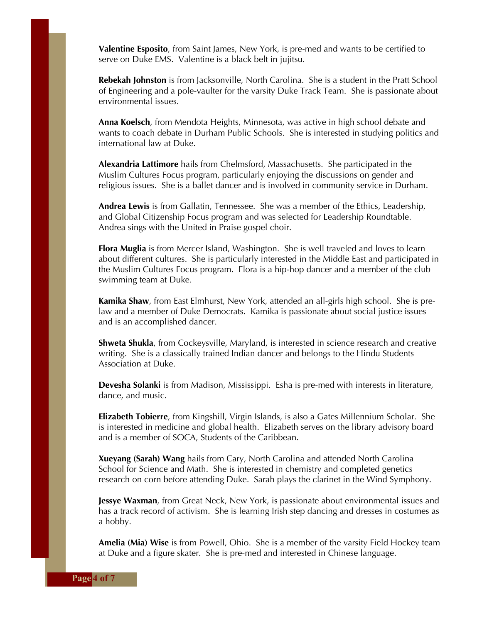**Valentine Esposito**, from Saint James, New York, is pre-med and wants to be certified to serve on Duke EMS. Valentine is a black belt in jujitsu.

**Rebekah Johnston** is from Jacksonville, North Carolina. She is a student in the Pratt School of Engineering and a pole-vaulter for the varsity Duke Track Team. She is passionate about environmental issues.

**Anna Koelsch**, from Mendota Heights, Minnesota, was active in high school debate and wants to coach debate in Durham Public Schools. She is interested in studying politics and international law at Duke.

**Alexandria Lattimore** hails from Chelmsford, Massachusetts. She participated in the Muslim Cultures Focus program, particularly enjoying the discussions on gender and religious issues. She is a ballet dancer and is involved in community service in Durham.

**Andrea Lewis** is from Gallatin, Tennessee. She was a member of the Ethics, Leadership, and Global Citizenship Focus program and was selected for Leadership Roundtable. Andrea sings with the United in Praise gospel choir.

**Flora Muglia** is from Mercer Island, Washington. She is well traveled and loves to learn about different cultures. She is particularly interested in the Middle East and participated in the Muslim Cultures Focus program. Flora is a hip-hop dancer and a member of the club swimming team at Duke.

**Kamika Shaw**, from East Elmhurst, New York, attended an all-girls high school. She is prelaw and a member of Duke Democrats. Kamika is passionate about social justice issues and is an accomplished dancer.

**Shweta Shukla**, from Cockeysville, Maryland, is interested in science research and creative writing. She is a classically trained Indian dancer and belongs to the Hindu Students Association at Duke.

**Devesha Solanki** is from Madison, Mississippi. Esha is pre-med with interests in literature, dance, and music.

**Elizabeth Tobierre**, from Kingshill, Virgin Islands, is also a Gates Millennium Scholar. She is interested in medicine and global health. Elizabeth serves on the library advisory board and is a member of SOCA, Students of the Caribbean.

**Xueyang (Sarah) Wang** hails from Cary, North Carolina and attended North Carolina School for Science and Math. She is interested in chemistry and completed genetics research on corn before attending Duke. Sarah plays the clarinet in the Wind Symphony.

**Jessye Waxman**, from Great Neck, New York, is passionate about environmental issues and has a track record of activism. She is learning Irish step dancing and dresses in costumes as a hobby.

**Amelia (Mia) Wise** is from Powell, Ohio. She is a member of the varsity Field Hockey team at Duke and a figure skater. She is pre-med and interested in Chinese language.

**Page** 4 of 7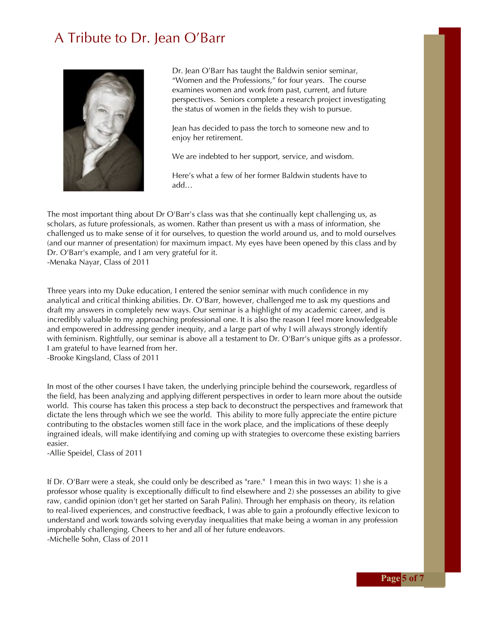#### A Tribute to Dr. Jean O'Barr



Dr. Jean O'Barr has taught the Baldwin senior seminar, "Women and the Professions," for four years. The course examines women and work from past, current, and future perspectives. Seniors complete a research project investigating the status of women in the fields they wish to pursue.

Jean has decided to pass the torch to someone new and to enjoy her retirement.

We are indebted to her support, service, and wisdom.

Here's what a few of her former Baldwin students have to add…

The most important thing about Dr O'Barr's class was that she continually kept challenging us, as scholars, as future professionals, as women. Rather than present us with a mass of information, she challenged us to make sense of it for ourselves, to question the world around us, and to mold ourselves (and our manner of presentation) for maximum impact. My eyes have been opened by this class and by Dr. O'Barr's example, and I am very grateful for it. -Menaka Nayar, Class of 2011

Three years into my Duke education, I entered the senior seminar with much confidence in my analytical and critical thinking abilities. Dr. O'Barr, however, challenged me to ask my questions and draft my answers in completely new ways. Our seminar is a highlight of my academic career, and is incredibly valuable to my approaching professional one. It is also the reason I feel more knowledgeable and empowered in addressing gender inequity, and a large part of why I will always strongly identify with feminism. Rightfully, our seminar is above all a testament to Dr. O'Barr's unique gifts as a professor. I am grateful to have learned from her.

-Brooke Kingsland, Class of 2011

In most of the other courses I have taken, the underlying principle behind the coursework, regardless of the field, has been analyzing and applying different perspectives in order to learn more about the outside world. This course has taken this process a step back to deconstruct the perspectives and framework that dictate the lens through which we see the world. This ability to more fully appreciate the entire picture contributing to the obstacles women still face in the work place, and the implications of these deeply ingrained ideals, will make identifying and coming up with strategies to overcome these existing barriers easier.

-Allie Speidel, Class of 2011

If Dr. O'Barr were a steak, she could only be described as "rare." I mean this in two ways: 1) she is a professor whose quality is exceptionally difficult to find elsewhere and 2) she possesses an ability to give raw, candid opinion (don't get her started on Sarah Palin). Through her emphasis on theory, its relation to real-lived experiences, and constructive feedback, I was able to gain a profoundly effective lexicon to understand and work towards solving everyday inequalities that make being a woman in any profession improbably challenging. Cheers to her and all of her future endeavors. -Michelle Sohn, Class of 2011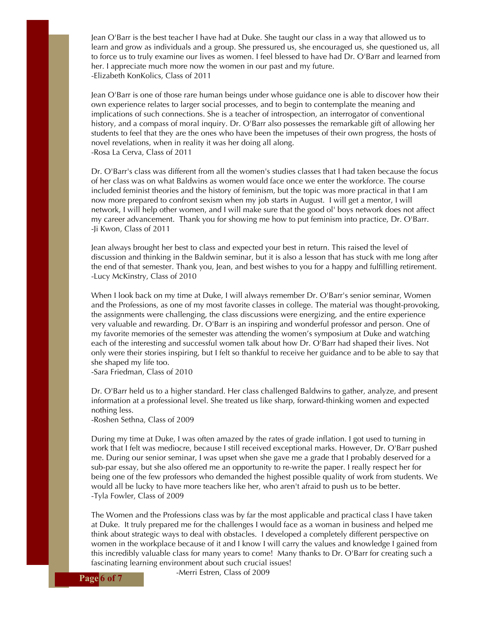Jean O'Barr is the best teacher I have had at Duke. She taught our class in a way that allowed us to learn and grow as individuals and a group. She pressured us, she encouraged us, she questioned us, all to force us to truly examine our lives as women. I feel blessed to have had Dr. O'Barr and learned from her. I appreciate much more now the women in our past and my future. -Elizabeth KonKolics, Class of 2011

Jean O'Barr is one of those rare human beings under whose guidance one is able to discover how their own experience relates to larger social processes, and to begin to contemplate the meaning and implications of such connections. She is a teacher of introspection, an interrogator of conventional history, and a compass of moral inquiry. Dr. O'Barr also possesses the remarkable gift of allowing her students to feel that they are the ones who have been the impetuses of their own progress, the hosts of novel revelations, when in reality it was her doing all along. -Rosa La Cerva, Class of 2011

Dr. O'Barr's class was different from all the women's studies classes that I had taken because the focus of her class was on what Baldwins as women would face once we enter the workforce. The course included feminist theories and the history of feminism, but the topic was more practical in that I am now more prepared to confront sexism when my job starts in August. I will get a mentor, I will network, I will help other women, and I will make sure that the good ol' boys network does not affect my career advancement. Thank you for showing me how to put feminism into practice, Dr. O'Barr. -Ji Kwon, Class of 2011

Jean always brought her best to class and expected your best in return. This raised the level of discussion and thinking in the Baldwin seminar, but it is also a lesson that has stuck with me long after the end of that semester. Thank you, Jean, and best wishes to you for a happy and fulfilling retirement. -Lucy McKinstry, Class of 2010

When I look back on my time at Duke, I will always remember Dr. O'Barr's senior seminar, Women and the Professions, as one of my most favorite classes in college. The material was thought-provoking, the assignments were challenging, the class discussions were energizing, and the entire experience very valuable and rewarding. Dr. O'Barr is an inspiring and wonderful professor and person. One of my favorite memories of the semester was attending the women's symposium at Duke and watching each of the interesting and successful women talk about how Dr. O'Barr had shaped their lives. Not only were their stories inspiring, but I felt so thankful to receive her guidance and to be able to say that she shaped my life too.

-Sara Friedman, Class of 2010

Dr. O'Barr held us to a higher standard. Her class challenged Baldwins to gather, analyze, and present information at a professional level. She treated us like sharp, forward-thinking women and expected nothing less.

-Roshen Sethna, Class of 2009

During my time at Duke, I was often amazed by the rates of grade inflation. I got used to turning in work that I felt was mediocre, because I still received exceptional marks. However, Dr. O'Barr pushed me. During our senior seminar, I was upset when she gave me a grade that I probably deserved for a sub-par essay, but she also offered me an opportunity to re-write the paper. I really respect her for being one of the few professors who demanded the highest possible quality of work from students. We would all be lucky to have more teachers like her, who aren't afraid to push us to be better. -Tyla Fowler, Class of 2009

The Women and the Professions class was by far the most applicable and practical class I have taken at Duke. It truly prepared me for the challenges I would face as a woman in business and helped me think about strategic ways to deal with obstacles. I developed a completely different perspective on women in the workplace because of it and I know I will carry the values and knowledge I gained from this incredibly valuable class for many years to come! Many thanks to Dr. O'Barr for creating such a fascinating learning environment about such crucial issues!

**Page** 6 of 7 **Page** 6 of 7 **Page** 6 of 7 **Page Page Page Page Page Page Page Page Page Page Page Page Page Page Page Page Page Page Page Page Page Page Page Page Page Page**